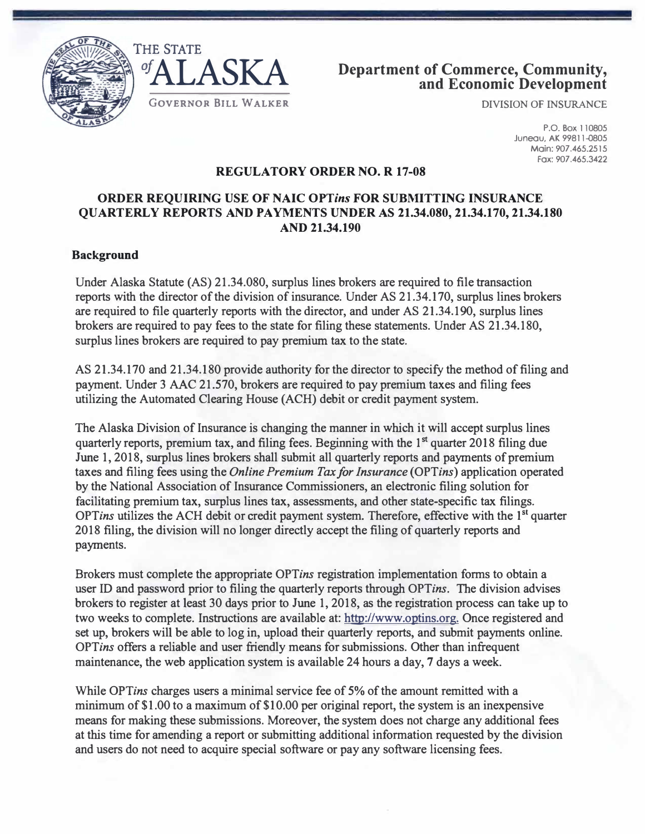





DIVISION OF INSURANCE

P.O. Box 110805 Juneau, AK 99811-0805 Main: 907.465.2515 Fax: 907.465.3422

### **REGULATORY ORDER NO. R 17-08**

# **ORDER REQUIRING USE OF NAIC** *OPTins* **FOR SUBMITTING INSURANCE QUARTERLY REPORTS AND PAYMENTS UNDER AS 21.34.080, 21.34.170, 21.34.180 AND 21.34.190**

### **Background**

Under Alaska Statute (AS) 21.34.080, surplus lines brokers are required to file transaction reports with the director of the division of insurance. Under AS 21.34.170, surplus lines brokers are required to file quarterly reports with the director, and under AS 21.34.190, surplus lines brokers are required to pay fees to the state for filing these statements. Under AS 21.34.180, surplus lines brokers are required to pay premium tax to the state.

AS 21.34.170 and 21.34.180 provide authority for the director to specify the method of filing and payment. Under 3 AAC 21.570, brokers are required to pay premium taxes and filing fees utilizing the Automated Clearing House (ACH) debit or credit payment system.

The Alaska Division of Insurance is changing the manner in which it will accept surplus lines quarterly reports, premium tax, and filing fees. Beginning with the 1<sup>st</sup> quarter 2018 filing due June 1, 2018, surplus lines brokers shall submit all quarterly reports and payments of premium taxes and filing fees using the *Online Premium Tax for Insurance (OPTins)* application operated by the National Association of Insurance Commissioners, an electronic filing solution for facilitating premium tax, surplus lines tax, assessments, and other state-specific tax filings. *OPTins* utilizes the ACH debit or credit payment system. Therefore, effective with the 1 **st** quarter 2018 filing, the division will no longer directly accept the filing of quarterly reports and payments.

Brokers must complete the appropriate *OPTins* registration implementation forms to obtain a user ID and password prior to filing the quarterly reports through *OPTins.* The division advises brokers to register at least 30 days prior to June 1, 2018, as the registration process can take up to two weeks to complete. Instructions are available at: [http://www.optins.org. On](http://www.optins.org)ce registered and set up, brokers will be able to log in, upload their quarterly reports, and submit payments online. *OPTins* offers a reliable and user friendly means for submissions. Other than infrequent maintenance, the web application system is available 24 hours a day, 7 days a week.

While OPTins charges users a minimal service fee of 5% of the amount remitted with a minimum of \$1.00 to a maximum of \$10.00 per original report, the system is an inexpensive means for making these submissions. Moreover, the system does not charge any additional fees at this time for amending a report or submitting additional information requested by the division and users do not need to acquire special software or pay any software licensing fees.